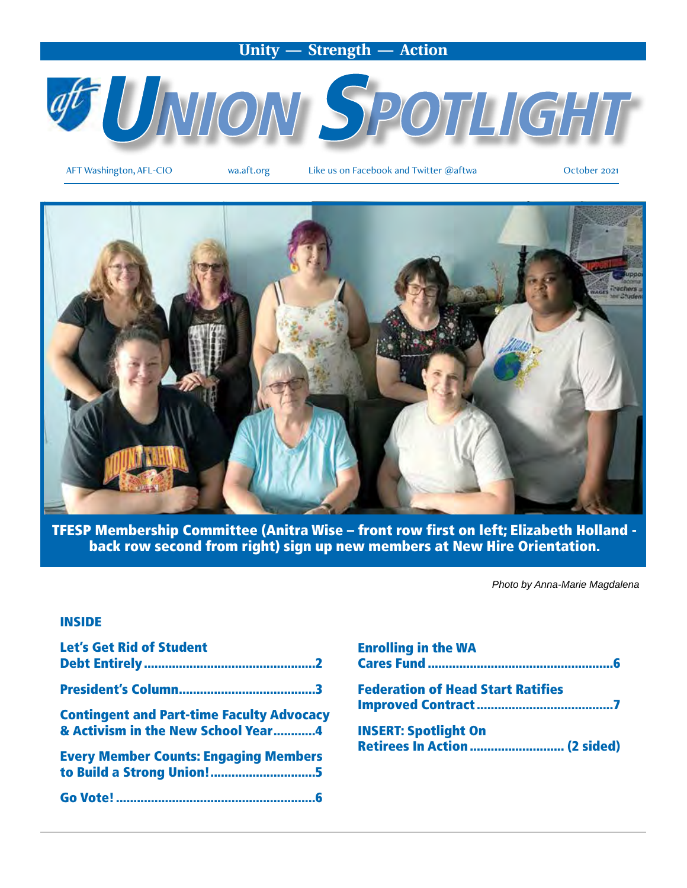### **Unity — Strength — Action**



AFT Washington, AFL-CIO wa.aft.org Like us on Facebook and Twitter @aftwa October 2021



TFESP Membership Committee (Anitra Wise – front row first on left; Elizabeth Holland back row second from right) sign up new members at New Hire Orientation.

*Photo by Anna-Marie Magdalena*

#### INSIDE

| <b>Let's Get Rid of Student</b>                                                        |
|----------------------------------------------------------------------------------------|
|                                                                                        |
| <b>Contingent and Part-time Faculty Advocacy</b><br>& Activism in the New School Year4 |
| <b>Every Member Counts: Engaging Members</b>                                           |
|                                                                                        |

| <b>Enrolling in the WA</b>               |  |
|------------------------------------------|--|
| <b>Federation of Head Start Ratifies</b> |  |
| <b>INSERT: Spotlight On</b>              |  |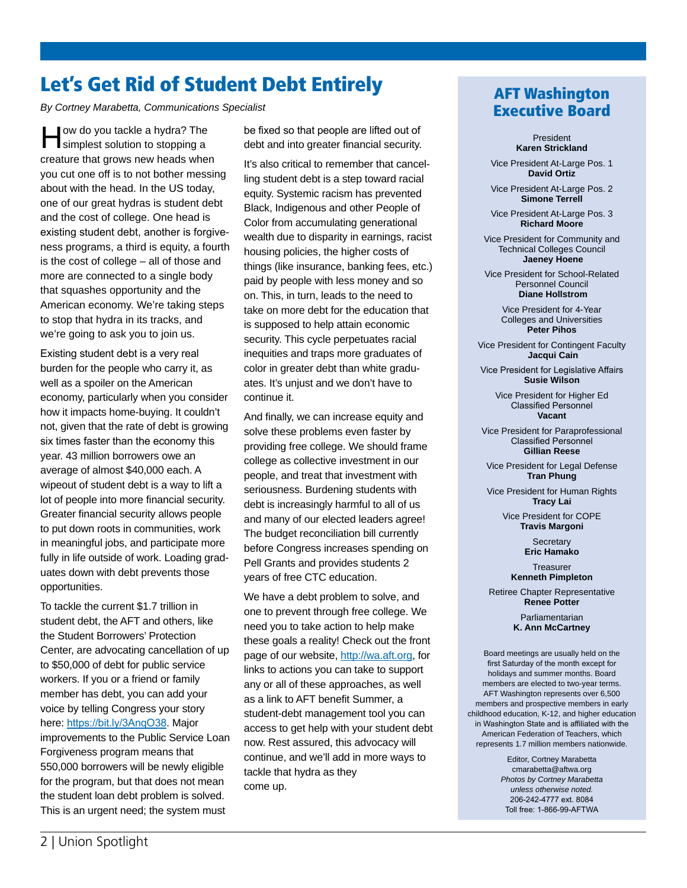## Let's Get Rid of Student Debt Entirely

*By Cortney Marabetta, Communications Specialist*

How do you tackle a hydra? The simplest solution to stopping a creature that grows new heads when you cut one off is to not bother messing about with the head. In the US today, one of our great hydras is student debt and the cost of college. One head is existing student debt, another is forgiveness programs, a third is equity, a fourth is the cost of college – all of those and more are connected to a single body that squashes opportunity and the American economy. We're taking steps to stop that hydra in its tracks, and we're going to ask you to join us.

Existing student debt is a very real burden for the people who carry it, as well as a spoiler on the American economy, particularly when you consider how it impacts home-buying. It couldn't not, given that the rate of debt is growing six times faster than the economy this year. 43 million borrowers owe an average of almost \$40,000 each. A wipeout of student debt is a way to lift a lot of people into more financial security. Greater financial security allows people to put down roots in communities, work in meaningful jobs, and participate more fully in life outside of work. Loading graduates down with debt prevents those opportunities.

To tackle the current \$1.7 trillion in student debt, the AFT and others, like the Student Borrowers' Protection Center, are advocating cancellation of up to \$50,000 of debt for public service workers. If you or a friend or family member has debt, you can add your voice by telling Congress your story here: https://bit.ly/3AnqO38. Major improvements to the Public Service Loan Forgiveness program means that 550,000 borrowers will be newly eligible for the program, but that does not mean the student loan debt problem is solved. This is an urgent need; the system must

be fixed so that people are lifted out of debt and into greater financial security.

It's also critical to remember that cancelling student debt is a step toward racial equity. Systemic racism has prevented Black, Indigenous and other People of Color from accumulating generational wealth due to disparity in earnings, racist housing policies, the higher costs of things (like insurance, banking fees, etc.) paid by people with less money and so on. This, in turn, leads to the need to take on more debt for the education that is supposed to help attain economic security. This cycle perpetuates racial inequities and traps more graduates of color in greater debt than white graduates. It's unjust and we don't have to continue it.

And finally, we can increase equity and solve these problems even faster by providing free college. We should frame college as collective investment in our people, and treat that investment with seriousness. Burdening students with debt is increasingly harmful to all of us and many of our elected leaders agree! The budget reconciliation bill currently before Congress increases spending on Pell Grants and provides students 2 years of free CTC education.

We have a debt problem to solve, and one to prevent through free college. We need you to take action to help make these goals a reality! Check out the front page of our website, http://wa.aft.org, for links to actions you can take to support any or all of these approaches, as well as a link to AFT benefit Summer, a student-debt management tool you can access to get help with your student debt now. Rest assured, this advocacy will continue, and we'll add in more ways to tackle that hydra as they come up.

## AFT Washington Executive Board

President **Karen Strickland**

Vice President At-Large Pos. 1 **David Ortiz**

Vice President At-Large Pos. 2 **Simone Terrell**

Vice President At-Large Pos. 3 **Richard Moore**

Vice President for Community and Technical Colleges Council  **Jaeney Hoene**

Vice President for School-Related Personnel Council  **Diane Hollstrom**

> Vice President for 4-Year Colleges and Universities **Peter Pihos**

Vice President for Contingent Faculty  **Jacqui Cain**

Vice President for Legislative Affairs **Susie Wilson**

> Vice President for Higher Ed Classified Personnel **Vacant**

Vice President for Paraprofessional Classified Personnel **Gillian Reese**

Vice President for Legal Defense **Tran Phung**

Vice President for Human Rights **Tracy Lai**

> Vice President for COPE **Travis Margoni**

> > **Secretary Eric Hamako**

**Treasurer Kenneth Pimpleton**

Retiree Chapter Representative **Renee Potter**

> Parliamentarian **K. Ann McCartney**

Board meetings are usually held on the first Saturday of the month except for holidays and summer months. Board members are elected to two-year terms. AFT Washington represents over 6,500 members and prospective members in early childhood education, K-12, and higher education in Washington State and is affiliated with the American Federation of Teachers, which represents 1.7 million members nationwide.

> Editor, Cortney Marabetta cmarabetta@aftwa.org *Photos by Cortney Marabetta unless otherwise noted.* 206-242-4777 ext. 8084 Toll free: 1-866-99-AFTWA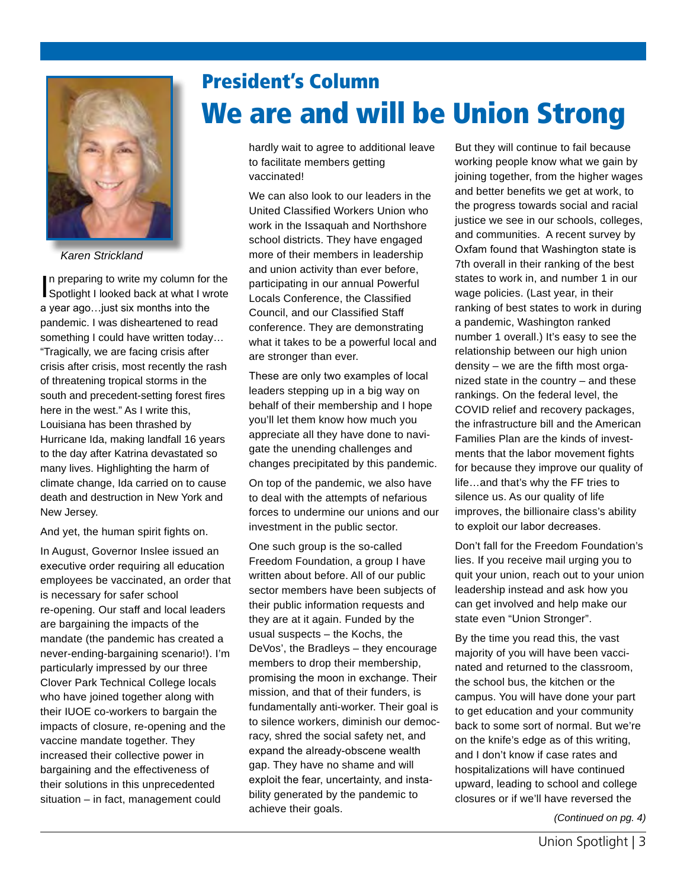

*Karen Strickland*

In preparing to write my column for the<br>Spotlight I looked back at what I wrote n preparing to write my column for the a year ago…just six months into the pandemic. I was disheartened to read something I could have written today… "Tragically, we are facing crisis after crisis after crisis, most recently the rash of threatening tropical storms in the south and precedent-setting forest fires here in the west." As I write this, Louisiana has been thrashed by Hurricane Ida, making landfall 16 years to the day after Katrina devastated so many lives. Highlighting the harm of climate change, Ida carried on to cause death and destruction in New York and New Jersey.

And yet, the human spirit fights on.

In August, Governor Inslee issued an executive order requiring all education employees be vaccinated, an order that is necessary for safer school re-opening. Our staff and local leaders are bargaining the impacts of the mandate (the pandemic has created a never-ending-bargaining scenario!). I'm particularly impressed by our three Clover Park Technical College locals who have joined together along with their IUOE co-workers to bargain the impacts of closure, re-opening and the vaccine mandate together. They increased their collective power in bargaining and the effectiveness of their solutions in this unprecedented situation – in fact, management could

# President's Column We are and will be Union Strong

hardly wait to agree to additional leave to facilitate members getting vaccinated!

We can also look to our leaders in the United Classified Workers Union who work in the Issaquah and Northshore school districts. They have engaged more of their members in leadership and union activity than ever before, participating in our annual Powerful Locals Conference, the Classified Council, and our Classified Staff conference. They are demonstrating what it takes to be a powerful local and are stronger than ever.

These are only two examples of local leaders stepping up in a big way on behalf of their membership and I hope you'll let them know how much you appreciate all they have done to navigate the unending challenges and changes precipitated by this pandemic.

On top of the pandemic, we also have to deal with the attempts of nefarious forces to undermine our unions and our investment in the public sector.

One such group is the so-called Freedom Foundation, a group I have written about before. All of our public sector members have been subjects of their public information requests and they are at it again. Funded by the usual suspects – the Kochs, the DeVos', the Bradleys – they encourage members to drop their membership, promising the moon in exchange. Their mission, and that of their funders, is fundamentally anti-worker. Their goal is to silence workers, diminish our democracy, shred the social safety net, and expand the already-obscene wealth gap. They have no shame and will exploit the fear, uncertainty, and instability generated by the pandemic to achieve their goals.

But they will continue to fail because working people know what we gain by joining together, from the higher wages and better benefits we get at work, to the progress towards social and racial justice we see in our schools, colleges, and communities. A recent survey by Oxfam found that Washington state is 7th overall in their ranking of the best states to work in, and number 1 in our wage policies. (Last year, in their ranking of best states to work in during a pandemic, Washington ranked number 1 overall.) It's easy to see the relationship between our high union density – we are the fifth most organized state in the country – and these rankings. On the federal level, the COVID relief and recovery packages, the infrastructure bill and the American Families Plan are the kinds of investments that the labor movement fights for because they improve our quality of life…and that's why the FF tries to silence us. As our quality of life improves, the billionaire class's ability to exploit our labor decreases.

Don't fall for the Freedom Foundation's lies. If you receive mail urging you to quit your union, reach out to your union leadership instead and ask how you can get involved and help make our state even "Union Stronger".

By the time you read this, the vast majority of you will have been vaccinated and returned to the classroom, the school bus, the kitchen or the campus. You will have done your part to get education and your community back to some sort of normal. But we're on the knife's edge as of this writing, and I don't know if case rates and hospitalizations will have continued upward, leading to school and college closures or if we'll have reversed the

*(Continued on pg. 4)*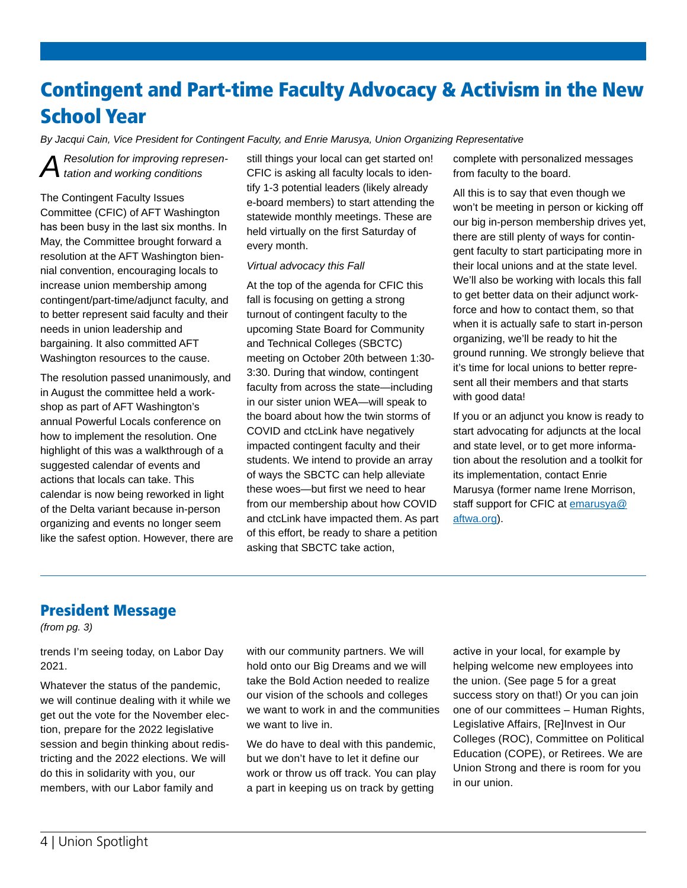# Contingent and Part-time Faculty Advocacy & Activism in the New School Year

*By Jacqui Cain, Vice President for Contingent Faculty, and Enrie Marusya, Union Organizing Representative*

*A Resolution for improving represen-tation and working conditions*

The Contingent Faculty Issues Committee (CFIC) of AFT Washington has been busy in the last six months. In May, the Committee brought forward a resolution at the AFT Washington biennial convention, encouraging locals to increase union membership among contingent/part-time/adjunct faculty, and to better represent said faculty and their needs in union leadership and bargaining. It also committed AFT Washington resources to the cause.

The resolution passed unanimously, and in August the committee held a workshop as part of AFT Washington's annual Powerful Locals conference on how to implement the resolution. One highlight of this was a walkthrough of a suggested calendar of events and actions that locals can take. This calendar is now being reworked in light of the Delta variant because in-person organizing and events no longer seem like the safest option. However, there are still things your local can get started on! CFIC is asking all faculty locals to identify 1-3 potential leaders (likely already e-board members) to start attending the statewide monthly meetings. These are held virtually on the first Saturday of every month.

#### *Virtual advocacy this Fall*

At the top of the agenda for CFIC this fall is focusing on getting a strong turnout of contingent faculty to the upcoming State Board for Community and Technical Colleges (SBCTC) meeting on October 20th between 1:30- 3:30. During that window, contingent faculty from across the state—including in our sister union WEA—will speak to the board about how the twin storms of COVID and ctcLink have negatively impacted contingent faculty and their students. We intend to provide an array of ways the SBCTC can help alleviate these woes—but first we need to hear from our membership about how COVID and ctcLink have impacted them. As part of this effort, be ready to share a petition asking that SBCTC take action,

complete with personalized messages from faculty to the board.

All this is to say that even though we won't be meeting in person or kicking off our big in-person membership drives yet, there are still plenty of ways for contingent faculty to start participating more in their local unions and at the state level. We'll also be working with locals this fall to get better data on their adjunct workforce and how to contact them, so that when it is actually safe to start in-person organizing, we'll be ready to hit the ground running. We strongly believe that it's time for local unions to better represent all their members and that starts with good data!

If you or an adjunct you know is ready to start advocating for adjuncts at the local and state level, or to get more information about the resolution and a toolkit for its implementation, contact Enrie Marusya (former name Irene Morrison, staff support for CFIC at emarusya@ aftwa.org).

### President Message

*(from pg. 3)*

trends I'm seeing today, on Labor Day 2021.

Whatever the status of the pandemic, we will continue dealing with it while we get out the vote for the November election, prepare for the 2022 legislative session and begin thinking about redistricting and the 2022 elections. We will do this in solidarity with you, our members, with our Labor family and

with our community partners. We will hold onto our Big Dreams and we will take the Bold Action needed to realize our vision of the schools and colleges we want to work in and the communities we want to live in.

We do have to deal with this pandemic, but we don't have to let it define our work or throw us off track. You can play a part in keeping us on track by getting

active in your local, for example by helping welcome new employees into the union. (See page 5 for a great success story on that!) Or you can join one of our committees – Human Rights, Legislative Affairs, [Re]Invest in Our Colleges (ROC), Committee on Political Education (COPE), or Retirees. We are Union Strong and there is room for you in our union.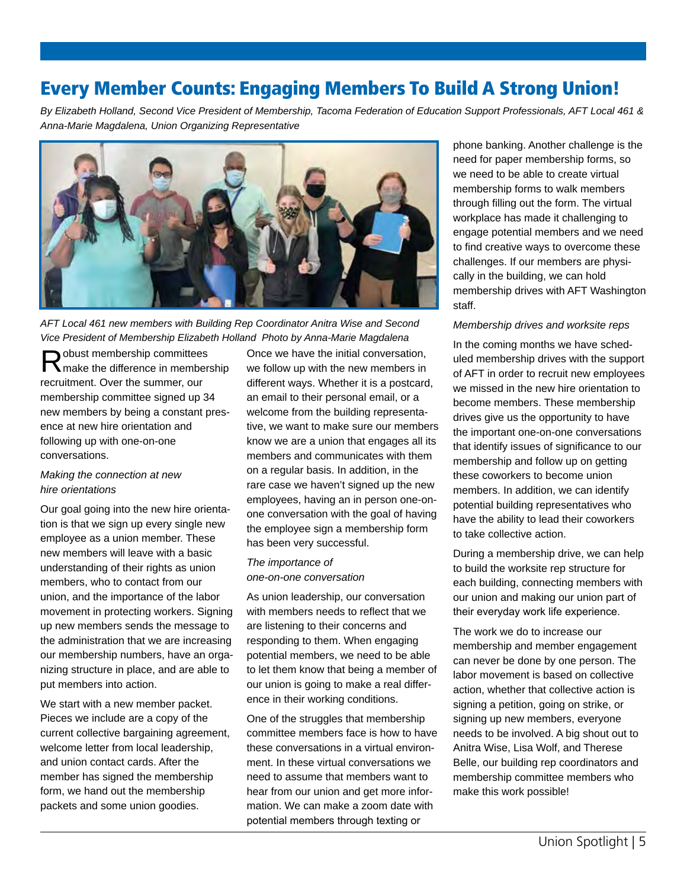## Every Member Counts: Engaging Members To Build A Strong Union!

*By Elizabeth Holland, Second Vice President of Membership, Tacoma Federation of Education Support Professionals, AFT Local 461 & Anna-Marie Magdalena, Union Organizing Representative*



*AFT Local 461 new members with Building Rep Coordinator Anitra Wise and Second Vice President of Membership Elizabeth Holland Photo by Anna-Marie Magdalena*

Robust membership committees<br>
Robust the difference in membership recruitment. Over the summer, our membership committee signed up 34 new members by being a constant presence at new hire orientation and following up with one-on-one conversations.

#### *Making the connection at new hire orientations*

Our goal going into the new hire orientation is that we sign up every single new employee as a union member. These new members will leave with a basic understanding of their rights as union members, who to contact from our union, and the importance of the labor movement in protecting workers. Signing up new members sends the message to the administration that we are increasing our membership numbers, have an organizing structure in place, and are able to put members into action.

We start with a new member packet. Pieces we include are a copy of the current collective bargaining agreement, welcome letter from local leadership, and union contact cards. After the member has signed the membership form, we hand out the membership packets and some union goodies.

Once we have the initial conversation, we follow up with the new members in different ways. Whether it is a postcard, an email to their personal email, or a welcome from the building representative, we want to make sure our members know we are a union that engages all its members and communicates with them on a regular basis. In addition, in the rare case we haven't signed up the new employees, having an in person one-onone conversation with the goal of having the employee sign a membership form has been very successful.

#### *The importance of one-on-one conversation*

As union leadership, our conversation with members needs to reflect that we are listening to their concerns and responding to them. When engaging potential members, we need to be able to let them know that being a member of our union is going to make a real difference in their working conditions.

One of the struggles that membership committee members face is how to have these conversations in a virtual environment. In these virtual conversations we need to assume that members want to hear from our union and get more information. We can make a zoom date with potential members through texting or

phone banking. Another challenge is the need for paper membership forms, so we need to be able to create virtual membership forms to walk members through filling out the form. The virtual workplace has made it challenging to engage potential members and we need to find creative ways to overcome these challenges. If our members are physically in the building, we can hold membership drives with AFT Washington staff.

#### *Membership drives and worksite reps*

In the coming months we have scheduled membership drives with the support of AFT in order to recruit new employees we missed in the new hire orientation to become members. These membership drives give us the opportunity to have the important one-on-one conversations that identify issues of significance to our membership and follow up on getting these coworkers to become union members. In addition, we can identify potential building representatives who have the ability to lead their coworkers to take collective action.

During a membership drive, we can help to build the worksite rep structure for each building, connecting members with our union and making our union part of their everyday work life experience.

The work we do to increase our membership and member engagement can never be done by one person. The labor movement is based on collective action, whether that collective action is signing a petition, going on strike, or signing up new members, everyone needs to be involved. A big shout out to Anitra Wise, Lisa Wolf, and Therese Belle, our building rep coordinators and membership committee members who make this work possible!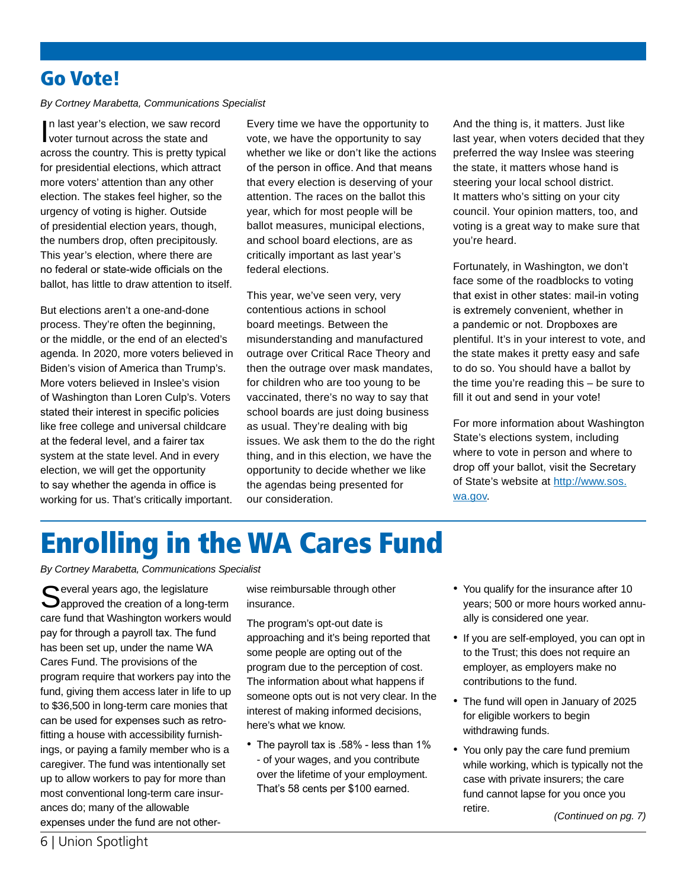## Go Vote!

#### *By Cortney Marabetta, Communications Specialist*

In last year's election, we saw reconvoter turnout across the state and n last year's election, we saw record across the country. This is pretty typical for presidential elections, which attract more voters' attention than any other election. The stakes feel higher, so the urgency of voting is higher. Outside of presidential election years, though, the numbers drop, often precipitously. This year's election, where there are no federal or state-wide officials on the ballot, has little to draw attention to itself.

But elections aren't a one-and-done process. They're often the beginning, or the middle, or the end of an elected's agenda. In 2020, more voters believed in Biden's vision of America than Trump's. More voters believed in Inslee's vision of Washington than Loren Culp's. Voters stated their interest in specific policies like free college and universal childcare at the federal level, and a fairer tax system at the state level. And in every election, we will get the opportunity to say whether the agenda in office is working for us. That's critically important.

Every time we have the opportunity to vote, we have the opportunity to say whether we like or don't like the actions of the person in office. And that means that every election is deserving of your attention. The races on the ballot this year, which for most people will be ballot measures, municipal elections, and school board elections, are as critically important as last year's federal elections.

This year, we've seen very, very contentious actions in school board meetings. Between the misunderstanding and manufactured outrage over Critical Race Theory and then the outrage over mask mandates, for children who are too young to be vaccinated, there's no way to say that school boards are just doing business as usual. They're dealing with big issues. We ask them to the do the right thing, and in this election, we have the opportunity to decide whether we like the agendas being presented for our consideration.

And the thing is, it matters. Just like last year, when voters decided that they preferred the way Inslee was steering the state, it matters whose hand is steering your local school district. It matters who's sitting on your city council. Your opinion matters, too, and voting is a great way to make sure that you're heard.

Fortunately, in Washington, we don't face some of the roadblocks to voting that exist in other states: mail-in voting is extremely convenient, whether in a pandemic or not. Dropboxes are plentiful. It's in your interest to vote, and the state makes it pretty easy and safe to do so. You should have a ballot by the time you're reading this – be sure to fill it out and send in your vote!

For more information about Washington State's elections system, including where to vote in person and where to drop off your ballot, visit the Secretary of State's website at http://www.sos. wa.gov.

# Enrolling in the WA Cares Fund

*By Cortney Marabetta, Communications Specialist*

Several years ago, the legislature<br>Supproved the creation of a long-term care fund that Washington workers would pay for through a payroll tax. The fund has been set up, under the name WA Cares Fund. The provisions of the program require that workers pay into the fund, giving them access later in life to up to \$36,500 in long-term care monies that can be used for expenses such as retrofitting a house with accessibility furnishings, or paying a family member who is a caregiver. The fund was intentionally set up to allow workers to pay for more than most conventional long-term care insurances do; many of the allowable expenses under the fund are not otherwise reimbursable through other insurance.

The program's opt-out date is approaching and it's being reported that some people are opting out of the program due to the perception of cost. The information about what happens if someone opts out is not very clear. In the interest of making informed decisions, here's what we know.

• The payroll tax is .58% - less than 1% - of your wages, and you contribute over the lifetime of your employment. That's 58 cents per \$100 earned.

- You qualify for the insurance after 10 years; 500 or more hours worked annually is considered one year.
- If you are self-employed, you can opt in to the Trust; this does not require an employer, as employers make no contributions to the fund.
- The fund will open in January of 2025 for eligible workers to begin withdrawing funds.
- You only pay the care fund premium while working, which is typically not the case with private insurers; the care fund cannot lapse for you once you retire. *(Continued on pg. 7)*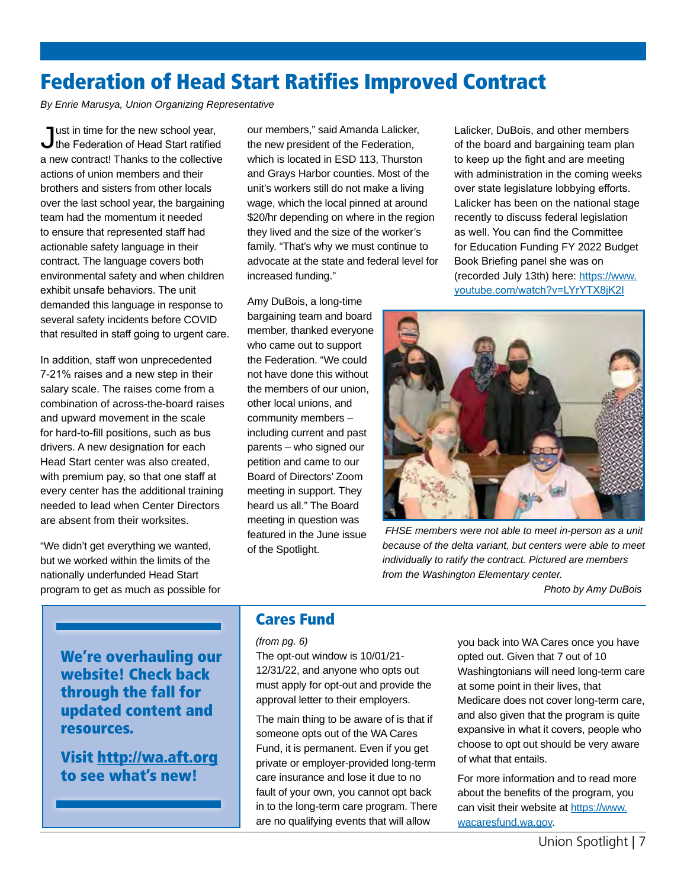## Federation of Head Start Ratifies Improved Contract

*By Enrie Marusya, Union Organizing Representative* 

Just in time for the new school year, the Federation of Head Start ratified a new contract! Thanks to the collective actions of union members and their brothers and sisters from other locals over the last school year, the bargaining team had the momentum it needed to ensure that represented staff had actionable safety language in their contract. The language covers both environmental safety and when children exhibit unsafe behaviors. The unit demanded this language in response to several safety incidents before COVID that resulted in staff going to urgent care.

In addition, staff won unprecedented 7-21% raises and a new step in their salary scale. The raises come from a combination of across-the-board raises and upward movement in the scale for hard-to-fill positions, such as bus drivers. A new designation for each Head Start center was also created, with premium pay, so that one staff at every center has the additional training needed to lead when Center Directors are absent from their worksites.

"We didn't get everything we wanted, but we worked within the limits of the nationally underfunded Head Start program to get as much as possible for our members," said Amanda Lalicker, the new president of the Federation, which is located in ESD 113, Thurston and Grays Harbor counties. Most of the unit's workers still do not make a living wage, which the local pinned at around \$20/hr depending on where in the region they lived and the size of the worker's family. "That's why we must continue to advocate at the state and federal level for increased funding."

Amy DuBois, a long-time bargaining team and board member, thanked everyone who came out to support the Federation. "We could not have done this without the members of our union, other local unions, and community members – including current and past parents – who signed our petition and came to our Board of Directors' Zoom meeting in support. They heard us all." The Board meeting in question was featured in the June issue of the Spotlight.

Lalicker, DuBois, and other members of the board and bargaining team plan to keep up the fight and are meeting with administration in the coming weeks over state legislature lobbying efforts. Lalicker has been on the national stage recently to discuss federal legislation as well. You can find the Committee for Education Funding FY 2022 Budget Book Briefing panel she was on (recorded July 13th) here: https://www. youtube.com/watch?v=LYrYTX8jK2I



 *FHSE members were not able to meet in-person as a unit because of the delta variant, but centers were able to meet individually to ratify the contract. Pictured are members from the Washington Elementary center.* 

 *Photo by Amy DuBois*

We're overhauling our website! Check back through the fall for updated content and resources.

Visit http://wa.aft.org to see what's new!

## Cares Fund

#### *(from pg. 6)*

The opt-out window is 10/01/21- 12/31/22, and anyone who opts out must apply for opt-out and provide the approval letter to their employers.

The main thing to be aware of is that if someone opts out of the WA Cares Fund, it is permanent. Even if you get private or employer-provided long-term care insurance and lose it due to no fault of your own, you cannot opt back in to the long-term care program. There are no qualifying events that will allow

you back into WA Cares once you have opted out. Given that 7 out of 10 Washingtonians will need long-term care at some point in their lives, that Medicare does not cover long-term care, and also given that the program is quite expansive in what it covers, people who choose to opt out should be very aware of what that entails.

For more information and to read more about the benefits of the program, you can visit their website at https://www. wacaresfund.wa.gov.